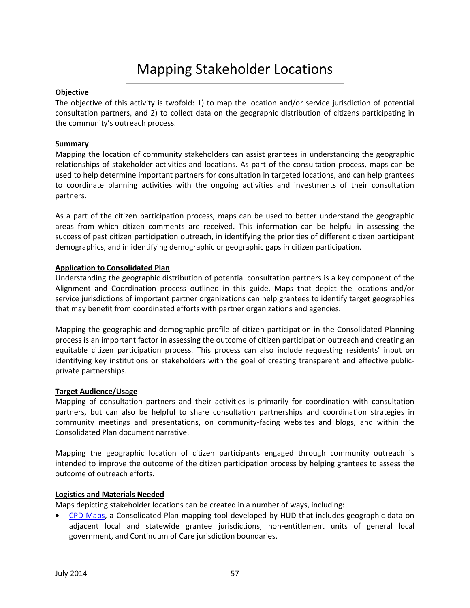# Mapping Stakeholder Locations

### **Objective**

The objective of this activity is twofold: 1) to map the location and/or service jurisdiction of potential consultation partners, and 2) to collect data on the geographic distribution of citizens participating in the community's outreach process.

### **Summary**

Mapping the location of community stakeholders can assist grantees in understanding the geographic relationships of stakeholder activities and locations. As part of the consultation process, maps can be used to help determine important partners for consultation in targeted locations, and can help grantees to coordinate planning activities with the ongoing activities and investments of their consultation partners.

As a part of the citizen participation process, maps can be used to better understand the geographic areas from which citizen comments are received. This information can be helpful in assessing the success of past citizen participation outreach, in identifying the priorities of different citizen participant demographics, and in identifying demographic or geographic gaps in citizen participation.

### **Application to Consolidated Plan**

Understanding the geographic distribution of potential consultation partners is a key component of the Alignment and Coordination process outlined in this guide. Maps that depict the locations and/or service jurisdictions of important partner organizations can help grantees to identify target geographies that may benefit from coordinated efforts with partner organizations and agencies.

Mapping the geographic and demographic profile of citizen participation in the Consolidated Planning process is an important factor in assessing the outcome of citizen participation outreach and creating an equitable citizen participation process. This process can also include requesting residents' input on identifying key institutions or stakeholders with the goal of creating transparent and effective publicprivate partnerships.

# **Target Audience/Usage**

Mapping of consultation partners and their activities is primarily for coordination with consultation partners, but can also be helpful to share consultation partnerships and coordination strategies in community meetings and presentations, on community-facing websites and blogs, and within the Consolidated Plan document narrative.

Mapping the geographic location of citizen participants engaged through community outreach is intended to improve the outcome of the citizen participation process by helping grantees to assess the outcome of outreach efforts.

# **Logistics and Materials Needed**

Maps depicting stakeholder locations can be created in a number of ways, including:

• [CPD Maps,](http://portal.hud.gov/hudportal/HUD?src=/program_offices/comm_planning/about/conplan/cpdmaps) a Consolidated Plan mapping tool developed by HUD that includes geographic data on adjacent local and statewide grantee jurisdictions, non-entitlement units of general local government, and Continuum of Care jurisdiction boundaries.